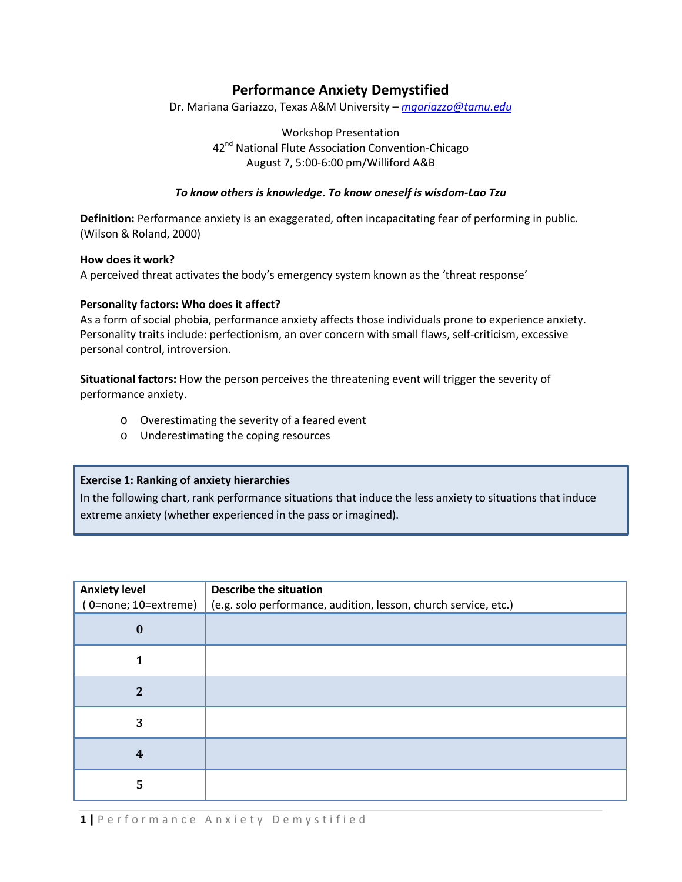# **Performance Anxiety Demystified**

Dr. Mariana Gariazzo, Texas A&M University – *[mgariazzo@tamu.edu](mailto:mgariazzo@tamu.edu)*

Workshop Presentation 42<sup>nd</sup> National Flute Association Convention-Chicago August 7, 5:00-6:00 pm/Williford A&B

### *To know others is knowledge. To know oneself is wisdom-Lao Tzu*

**Definition:** Performance anxiety is an exaggerated, often incapacitating fear of performing in public. (Wilson & Roland, 2000)

#### **How does it work?**

A perceived threat activates the body's emergency system known as the 'threat response'

#### **Personality factors: Who does it affect?**

As a form of social phobia, performance anxiety affects those individuals prone to experience anxiety. Personality traits include: perfectionism, an over concern with small flaws, self-criticism, excessive personal control, introversion.

**Situational factors:** How the person perceives the threatening event will trigger the severity of performance anxiety.

- o Overestimating the severity of a feared event
- o Underestimating the coping resources

### **Exercise 1: Ranking of anxiety hierarchies**

In the following chart, rank performance situations that induce the less anxiety to situations that induce extreme anxiety (whether experienced in the pass or imagined).

| <b>Anxiety level</b><br>(0=none; 10=extreme) | <b>Describe the situation</b><br>(e.g. solo performance, audition, lesson, church service, etc.) |
|----------------------------------------------|--------------------------------------------------------------------------------------------------|
| $\bf{0}$                                     |                                                                                                  |
|                                              |                                                                                                  |
| $\overline{2}$                               |                                                                                                  |
| 3                                            |                                                                                                  |
| $\overline{\mathbf{4}}$                      |                                                                                                  |
| 5                                            |                                                                                                  |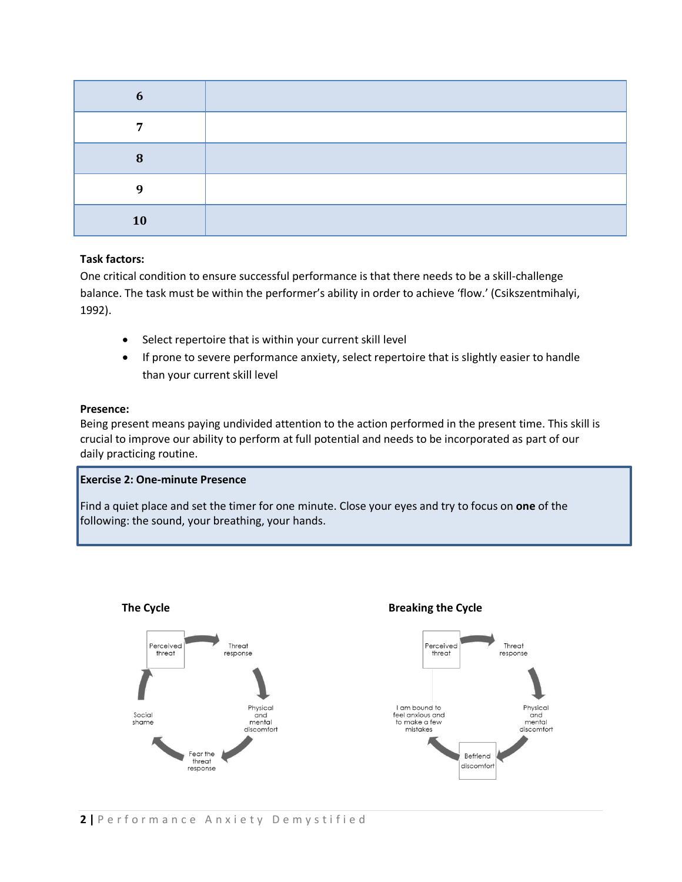| n  |  |
|----|--|
| ៗ  |  |
| Ω  |  |
|    |  |
| 10 |  |

### **Task factors:**

One critical condition to ensure successful performance is that there needs to be a skill-challenge balance. The task must be within the performer's ability in order to achieve 'flow.' (Csikszentmihalyi, 1992).

- Select repertoire that is within your current skill level
- If prone to severe performance anxiety, select repertoire that is slightly easier to handle than your current skill level

### **Presence:**

Being present means paying undivided attention to the action performed in the present time. This skill is crucial to improve our ability to perform at full potential and needs to be incorporated as part of our daily practicing routine.

## **Exercise 2: One-minute Presence**

Find a quiet place and set the timer for one minute. Close your eyes and try to focus on **one** of the following: the sound, your breathing, your hands.

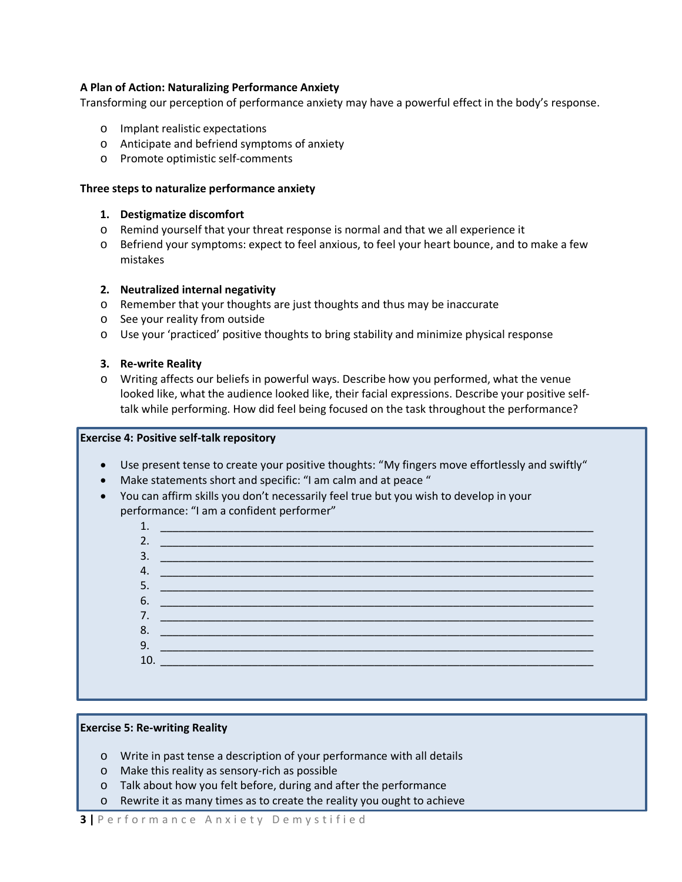### **A Plan of Action: Naturalizing Performance Anxiety**

Transforming our perception of performance anxiety may have a powerful effect in the body's response.

- o Implant realistic expectations
- o Anticipate and befriend symptoms of anxiety
- o Promote optimistic self-comments

#### **Three steps to naturalize performance anxiety**

#### **1. Destigmatize discomfort**

- o Remind yourself that your threat response is normal and that we all experience it
- o Befriend your symptoms: expect to feel anxious, to feel your heart bounce, and to make a few mistakes

#### **2. Neutralized internal negativity**

- o Remember that your thoughts are just thoughts and thus may be inaccurate
- o See your reality from outside
- o Use your 'practiced' positive thoughts to bring stability and minimize physical response

#### **3. Re-write Reality**

o Writing affects our beliefs in powerful ways. Describe how you performed, what the venue looked like, what the audience looked like, their facial expressions. Describe your positive selftalk while performing. How did feel being focused on the task throughout the performance?

### **Exercise 4: Positive self-talk repository**

- Use present tense to create your positive thoughts: "My fingers move effortlessly and swiftly"
- Make statements short and specific: "I am calm and at peace "
- You can affirm skills you don't necessarily feel true but you wish to develop in your performance: "I am a confident performer"



#### **Exercise 5: Re-writing Reality**

- o Write in past tense a description of your performance with all details
- o Make this reality as sensory-rich as possible
- o Talk about how you felt before, during and after the performance
- o Rewrite it as many times as to create the reality you ought to achieve